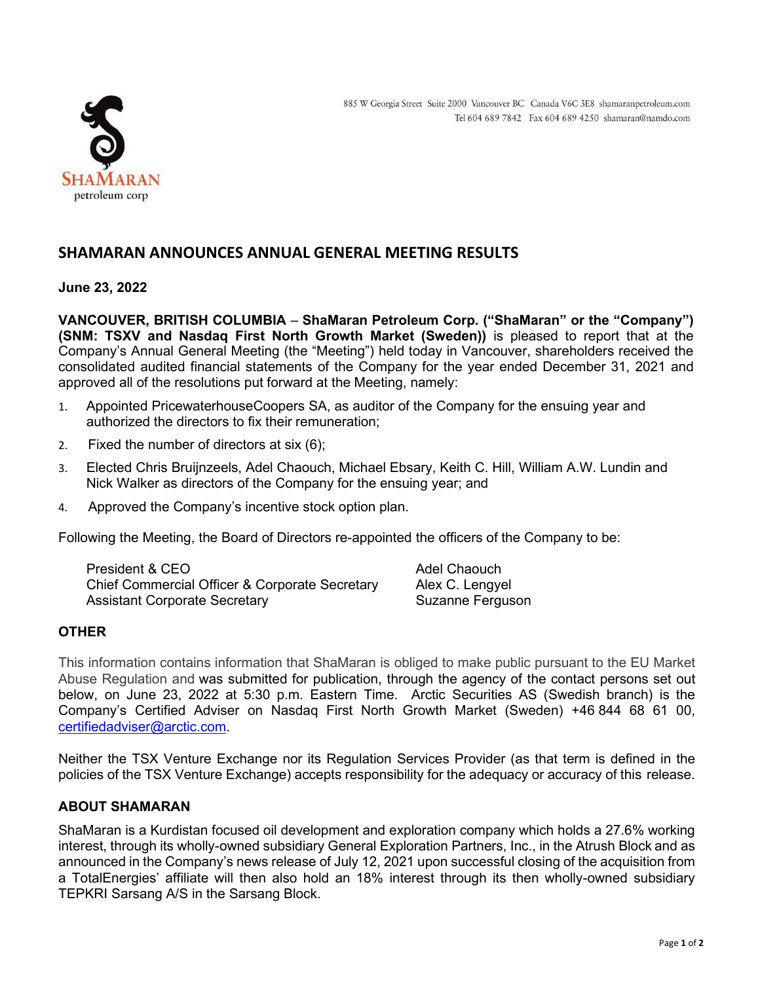

# **SHAMARAN ANNOUNCES ANNUAL GENERAL MEETING RESULTS**

## **June 23, 2022**

**VANCOUVER, BRITISH COLUMBIA** – **ShaMaran Petroleum Corp. ("ShaMaran" or the "Company") (SNM: TSXV and Nasdaq First North Growth Market (Sweden))** is pleased to report that at the Company's Annual General Meeting (the "Meeting") held today in Vancouver, shareholders received the consolidated audited financial statements of the Company for the year ended December 31, 2021 and approved all of the resolutions put forward at the Meeting, namely:

- 1. Appointed PricewaterhouseCoopers SA, as auditor of the Company for the ensuing year and authorized the directors to fix their remuneration;
- 2. Fixed the number of directors at six (6);
- 3. Elected Chris Bruijnzeels, Adel Chaouch, Michael Ebsary, Keith C. Hill, William A.W. Lundin and Nick Walker as directors of the Company for the ensuing year; and
- 4. Approved the Company's incentive stock option plan.

Following the Meeting, the Board of Directors re-appointed the officers of the Company to be:

| President & CEO                                | Adel Chaouch     |
|------------------------------------------------|------------------|
| Chief Commercial Officer & Corporate Secretary | Alex C. Lengyel  |
| <b>Assistant Corporate Secretary</b>           | Suzanne Ferguson |

## **OTHER**

This information contains information that ShaMaran is obliged to make public pursuant to the EU Market Abuse Regulation and was submitted for publication, through the agency of the contact persons set out below, on June 23, 2022 at 5:30 p.m. Eastern Time. Arctic Securities AS (Swedish branch) is the Company's Certified Adviser on Nasdaq First North Growth Market (Sweden) +46 844 68 61 00, [certifiedadviser@arctic.com.](mailto:certifiedadviser@arctic.com)

Neither the TSX Venture Exchange nor its Regulation Services Provider (as that term is defined in the policies of the TSX Venture Exchange) accepts responsibility for the adequacy or accuracy of this release.

## **ABOUT SHAMARAN**

ShaMaran is a Kurdistan focused oil development and exploration company which holds a 27.6% working interest, through its wholly-owned subsidiary General Exploration Partners, Inc., in the Atrush Block and as announced in the Company's news release of July 12, 2021 upon successful closing of the acquisition from a TotalEnergies' affiliate will then also hold an 18% interest through its then wholly-owned subsidiary TEPKRI Sarsang A/S in the Sarsang Block.